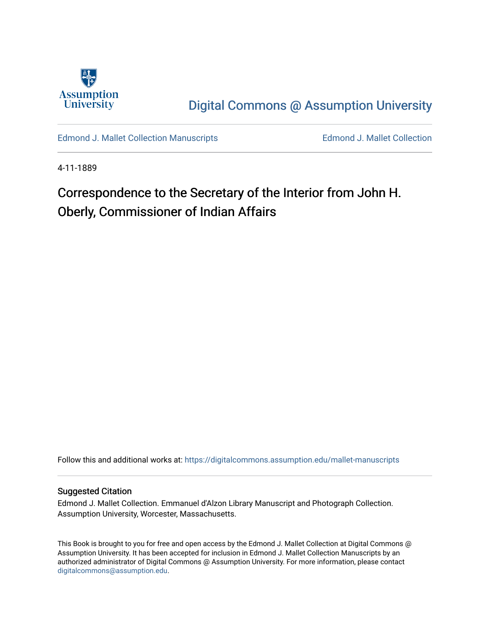

[Digital Commons @ Assumption University](https://digitalcommons.assumption.edu/) 

[Edmond J. Mallet Collection Manuscripts](https://digitalcommons.assumption.edu/mallet-manuscripts) **Edmond J. Mallet Collection** 

4-11-1889

# Correspondence to the Secretary of the Interior from John H. Oberly, Commissioner of Indian Affairs

Follow this and additional works at: [https://digitalcommons.assumption.edu/mallet-manuscripts](https://digitalcommons.assumption.edu/mallet-manuscripts?utm_source=digitalcommons.assumption.edu%2Fmallet-manuscripts%2F86&utm_medium=PDF&utm_campaign=PDFCoverPages) 

#### Suggested Citation

Edmond J. Mallet Collection. Emmanuel d'Alzon Library Manuscript and Photograph Collection. Assumption University, Worcester, Massachusetts.

This Book is brought to you for free and open access by the Edmond J. Mallet Collection at Digital Commons @ Assumption University. It has been accepted for inclusion in Edmond J. Mallet Collection Manuscripts by an authorized administrator of Digital Commons @ Assumption University. For more information, please contact [digitalcommons@assumption.edu](mailto:digitalcommons@assumption.edu).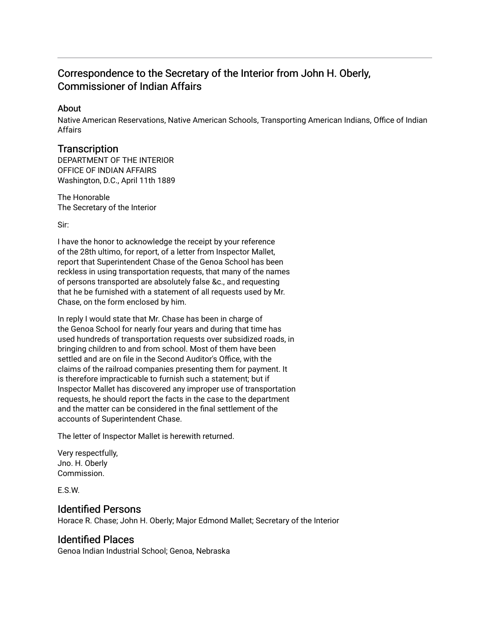## Correspondence to the Secretary of the Interior from John H. Oberly, Commissioner of Indian Affairs

#### About

Native American Reservations, Native American Schools, Transporting American Indians, Office of Indian Affairs

### **Transcription**

DEPARTMENT OF THE INTERIOR OFFICE OF INDIAN AFFAIRS Washington, D.C., April 11th 1889

The Honorable The Secretary of the Interior

Sir:

I have the honor to acknowledge the receipt by your reference of the 28th ultimo, for report, of a letter from Inspector Mallet, report that Superintendent Chase of the Genoa School has been reckless in using transportation requests, that many of the names of persons transported are absolutely false &c., and requesting that he be furnished with a statement of all requests used by Mr. Chase, on the form enclosed by him.

In reply I would state that Mr. Chase has been in charge of the Genoa School for nearly four years and during that time has used hundreds of transportation requests over subsidized roads, in bringing children to and from school. Most of them have been settled and are on file in the Second Auditor's Office, with the claims of the railroad companies presenting them for payment. It is therefore impracticable to furnish such a statement; but if Inspector Mallet has discovered any improper use of transportation requests, he should report the facts in the case to the department and the matter can be considered in the final settlement of the accounts of Superintendent Chase.

The letter of Inspector Mallet is herewith returned.

Very respectfully, Jno. H. Oberly Commission.

E.S.W.

## Identified Persons

Horace R. Chase; John H. Oberly; Major Edmond Mallet; Secretary of the Interior

## Identified Places

Genoa Indian Industrial School; Genoa, Nebraska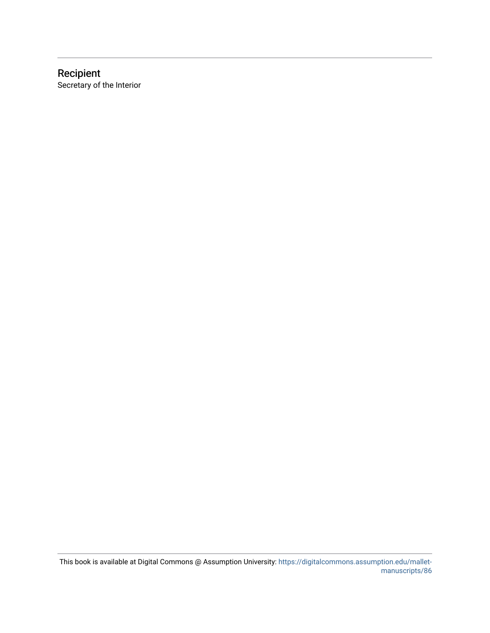### Recipient Secretary of the Interior

This book is available at Digital Commons @ Assumption University: [https://digitalcommons.assumption.edu/mallet](https://digitalcommons.assumption.edu/mallet-manuscripts/86)[manuscripts/86](https://digitalcommons.assumption.edu/mallet-manuscripts/86)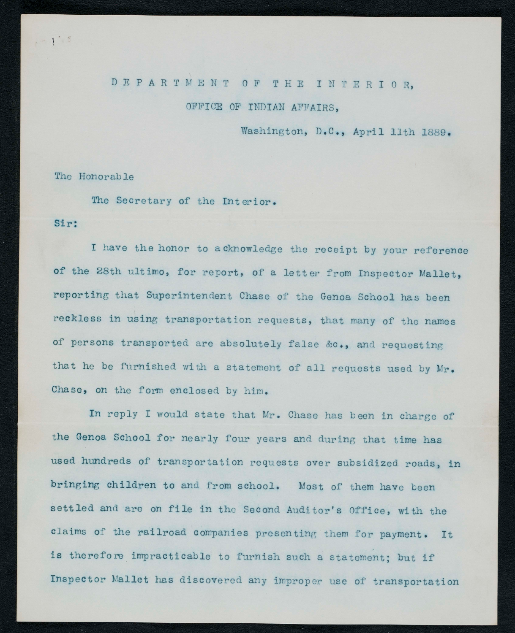## DEPARTMENT OF THE INTERIOR,

#### OFFICE OF INDIAN AFFAIRS,

Washington, D.C., April 11th 1889.

#### The Honorable

The Secretary of the Interior.

#### Sir:

 $\cdot$   $\circ$ 

I have the honor to acknowledge the receipt by your reference of the 28th ultimo, for report, of a letter from Inspector Mallet, reporting that Superintendent Chase of the Genoa School has been reckless in using transportation requests, that many of the names of persons transported are absolutely false &c., and requesting that he be furnished with a statement of all requests used by Mr. Chase, on the form enclosed by him.

In reply I would state that Mr. Chase has been in charge of the Genoa School for nearly four years and during that time has used hundreds of transportation requests over subsidized roads, in bringing children to and from school. Most of them have been settled and are on file in the Second Auditor's Office, with the claims of the railroad companies presenting them for payment. It is therefore impracticable to furnish such a statement; but if Inspector Mallet has discovered any improper use of transportation